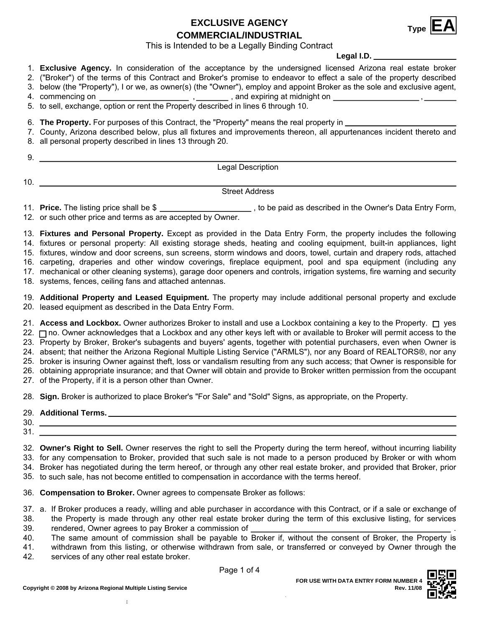**EXCLUSIVE AGENCY** Type  $E^{\text{A}}$ 



This is Intended to be a Legally Binding Contract

**Legal I.D.**

1. **Exclusive Agency.** In consideration of the acceptance by the undersigned licensed Arizona real estate broker

- 2. ("Broker") of the terms of this Contract and Broker's promise to endeavor to effect a sale of the property described
- 3. below (the "Property"), I or we, as owner(s) (the "Owner"), employ and appoint Broker as the sole and exclusive agent,
- commencing on , 4. , and expiring at midnight on ,

5. to sell, exchange, option or rent the Property described in lines 6 through 10.

6. **The Property.** For purposes of this Contract, the "Property" means the real property in

7. County, Arizona described below, plus all fixtures and improvements thereon, all appurtenances incident thereto and

8. all personal property described in lines 13 through 20.

9.

10.

Legal Description

## Street Address

11. Price. The listing price shall be \$

**Price. 20 , to be paid as described in the Owner's Data Entry Form,** 12. or such other price and terms as are accepted by Owner.

13. **Fixtures and Personal Property.** Except as provided in the Data Entry Form, the property includes the following

14. fixtures or personal property: All existing storage sheds, heating and cooling equipment, built-in appliances, light

15. fixtures, window and door screens, sun screens, storm windows and doors, towel, curtain and drapery rods, attached

16. carpeting, draperies and other window coverings, fireplace equipment, pool and spa equipment (including any

17. mechanical or other cleaning systems), garage door openers and controls, irrigation systems, fire warning and security

18. systems, fences, ceiling fans and attached antennas.

19. **Additional Property and Leased Equipment.** The property may include additional personal property and exclude 20. leased equipment as described in the Data Entry Form.

21. **Access and Lockbox.** Owner authorizes Broker to install and use a Lockbox containing a key to the Property. □ yes 22. ⊟ no. Owner acknowledges that a Lockbox and any other keys left with or available to Broker will permit access to the 23. Property by Broker, Broker's subagents and buyers' agents, together with potential purchasers, even when Owner is 24. absent; that neither the Arizona Regional Multiple Listing Service ("ARMLS"), nor any Board of REALTORS®, nor any

25. broker is insuring Owner against theft, loss or vandalism resulting from any such access; that Owner is responsible for 26. obtaining appropriate insurance; and that Owner will obtain and provide to Broker written permission from the occupant

27. of the Property, if it is a person other than Owner.

28. **Sign.** Broker is authorized to place Broker's "For Sale" and "Sold" Signs, as appropriate, on the Property.

| 29. | <b>Additional Terms.</b> |  |
|-----|--------------------------|--|
| 30. |                          |  |
| 31. |                          |  |

32. **Owner's Right to Sell.** Owner reserves the right to sell the Property during the term hereof, without incurring liability 33. for any compensation to Broker, provided that such sale is not made to a person produced by Broker or with whom 34. Broker has negotiated during the term hereof, or through any other real estate broker, and provided that Broker, prior 35. to such sale, has not become entitled to compensation in accordance with the terms hereof.

36. **Compensation to Broker.** Owner agrees to compensate Broker as follows:

37. a. If Broker produces a ready, willing and able purchaser in accordance with this Contract, or if a sale or exchange of the Property is made through any other real estate broker during the term of this exclusive listing, for services 38.

rendered, Owner agrees to pay Broker a commission of . 39.

The same amount of commission shall be payable to Broker if, without the consent of Broker, the Property is 40.

withdrawn from this listing, or otherwise withdrawn from sale, or transferred or conveyed by Owner through the services of any other real estate broker. 41. 42.

.

Page 1 of 4

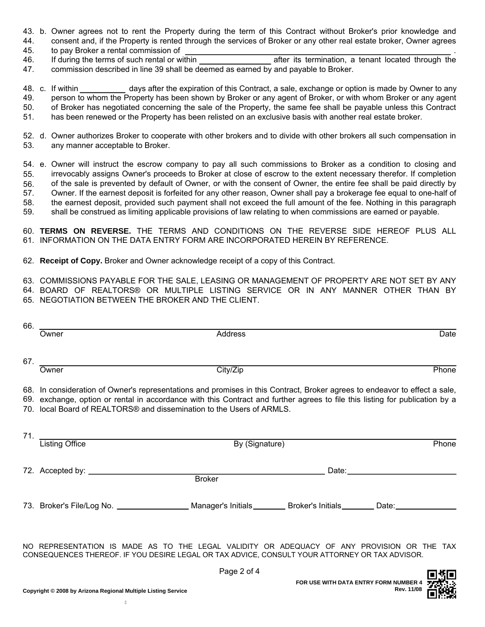- 43. b. Owner agrees not to rent the Property during the term of this Contract without Broker's prior knowledge and
- 44. consent and, if the Property is rented through the services of Broker or any other real estate broker, Owner agrees 45. to pay Broker a rental commission of .
- 46. If during the terms of such rental or within after its termination, a tenant located through the 47. commission described in line 39 shall be deemed as earned by and payable to Broker.

48. c. If within 49. 50. 51. days after the expiration of this Contract, a sale, exchange or option is made by Owner to any person to whom the Property has been shown by Broker or any agent of Broker, or with whom Broker or any agent of Broker has negotiated concerning the sale of the Property, the same fee shall be payable unless this Contract has been renewed or the Property has been relisted on an exclusive basis with another real estate broker.

52. d. Owner authorizes Broker to cooperate with other brokers and to divide with other brokers all such compensation in 53. any manner acceptable to Broker.

54. e. Owner will instruct the escrow company to pay all such commissions to Broker as a condition to closing and 55. irrevocably assigns Owner's proceeds to Broker at close of escrow to the extent necessary therefor. If completion of the sale is prevented by default of Owner, or with the consent of Owner, the entire fee shall be paid directly by Owner. If the earnest deposit is forfeited for any other reason, Owner shall pay a brokerage fee equal to one-half of the earnest deposit, provided such payment shall not exceed the full amount of the fee. Nothing in this paragraph shall be construed as limiting applicable provisions of law relating to when commissions are earned or payable. 56. 57. 58. 59.

60. **TERMS ON REVERSE.** THE TERMS AND CONDITIONS ON THE REVERSE SIDE HEREOF PLUS ALL 61. INFORMATION ON THE DATA ENTRY FORM ARE INCORPORATED HEREIN BY REFERENCE.

- 62. **Receipt of Copy.** Broker and Owner acknowledge receipt of a copy of this Contract.
- 63. COMMISSIONS PAYABLE FOR THE SALE, LEASING OR MANAGEMENT OF PROPERTY ARE NOT SET BY ANY
- BOARD OF REALTORS® OR MULTIPLE LISTING SERVICE OR IN ANY MANNER OTHER THAN BY 64.
- 65. NEGOTIATION BETWEEN THE BROKER AND THE CLIENT.

| 66.                                                                                                                                                                                                                                                                                                                                 | Owner                                                                                                                                                                                        | Address        |  | Date  |  |
|-------------------------------------------------------------------------------------------------------------------------------------------------------------------------------------------------------------------------------------------------------------------------------------------------------------------------------------|----------------------------------------------------------------------------------------------------------------------------------------------------------------------------------------------|----------------|--|-------|--|
|                                                                                                                                                                                                                                                                                                                                     |                                                                                                                                                                                              |                |  |       |  |
|                                                                                                                                                                                                                                                                                                                                     | 67. $\qquad \qquad$<br>Owner                                                                                                                                                                 | City/Zip       |  | Phone |  |
|                                                                                                                                                                                                                                                                                                                                     |                                                                                                                                                                                              |                |  |       |  |
| 68. In consideration of Owner's representations and promises in this Contract, Broker agrees to endeavor to effect a sale,<br>69. exchange, option or rental in accordance with this Contract and further agrees to file this listing for publication by a<br>70. local Board of REALTORS® and dissemination to the Users of ARMLS. |                                                                                                                                                                                              |                |  |       |  |
|                                                                                                                                                                                                                                                                                                                                     | 71. Listing Office                                                                                                                                                                           | By (Signature) |  | Phone |  |
|                                                                                                                                                                                                                                                                                                                                     |                                                                                                                                                                                              |                |  |       |  |
|                                                                                                                                                                                                                                                                                                                                     |                                                                                                                                                                                              |                |  |       |  |
|                                                                                                                                                                                                                                                                                                                                     |                                                                                                                                                                                              | <b>Broker</b>  |  |       |  |
|                                                                                                                                                                                                                                                                                                                                     | 73. Broker's File/Log No. ___________________Manager's Initials_________Broker's Initials_________Date:_______                                                                               |                |  |       |  |
|                                                                                                                                                                                                                                                                                                                                     |                                                                                                                                                                                              |                |  |       |  |
|                                                                                                                                                                                                                                                                                                                                     | NO REPRESENTATION IS MADE AS TO THE LEGAL VALIDITY OR ADEQUACY OF ANY PROVISION OR THE TAX<br>CONSEQUENCES THEREOF. IF YOU DESIRE LEGAL OR TAX ADVICE, CONSULT YOUR ATTORNEY OR TAX ADVISOR. |                |  |       |  |
|                                                                                                                                                                                                                                                                                                                                     |                                                                                                                                                                                              | Page 2 of 4    |  | ckc   |  |



È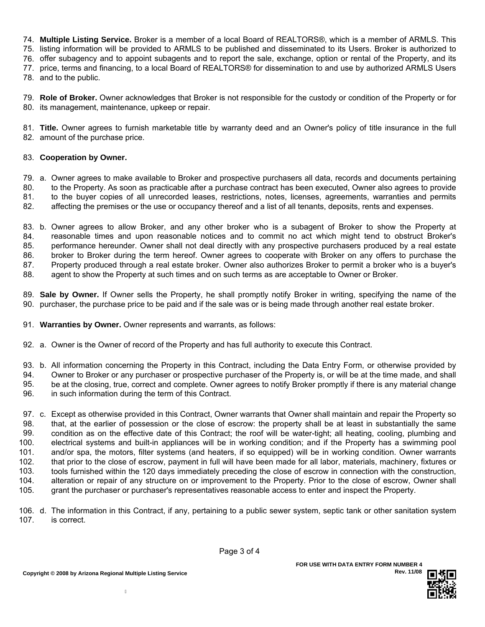74. **Multiple Listing Service.** Broker is a member of a local Board of REALTORS®, which is a member of ARMLS. This

75. listing information will be provided to ARMLS to be published and disseminated to its Users. Broker is authorized to

76. offer subagency and to appoint subagents and to report the sale, exchange, option or rental of the Property, and its

77. price, terms and financing, to a local Board of REALTORS® for dissemination to and use by authorized ARMLS Users

78. and to the public.

79. **Role of Broker.** Owner acknowledges that Broker is not responsible for the custody or condition of the Property or for 80. its management, maintenance, upkeep or repair.

81. **Title.** Owner agrees to furnish marketable title by warranty deed and an Owner's policy of title insurance in the full 82. amount of the purchase price.

## 83. **Cooperation by Owner.**

79. a. Owner agrees to make available to Broker and prospective purchasers all data, records and documents pertaining 80. to the Property. As soon as practicable after a purchase contract has been executed, Owner also agrees to provide

81. to the buyer copies of all unrecorded leases, restrictions, notes, licenses, agreements, warranties and permits

82. affecting the premises or the use or occupancy thereof and a list of all tenants, deposits, rents and expenses.

83. b. Owner agrees to allow Broker, and any other broker who is a subagent of Broker to show the Property at 84. 85. reasonable times and upon reasonable notices and to commit no act which might tend to obstruct Broker's performance hereunder. Owner shall not deal directly with any prospective purchasers produced by a real estate broker to Broker during the term hereof. Owner agrees to cooperate with Broker on any offers to purchase the Property produced through a real estate broker. Owner also authorizes Broker to permit a broker who is a buyer's agent to show the Property at such times and on such terms as are acceptable to Owner or Broker. 86. 87. 88.

89. **Sale by Owner.** If Owner sells the Property, he shall promptly notify Broker in writing, specifying the name of the 90. purchaser, the purchase price to be paid and if the sale was or is being made through another real estate broker.

- 91. **Warranties by Owner.** Owner represents and warrants, as follows:
- 92. a. Owner is the Owner of record of the Property and has full authority to execute this Contract.
- 93. b. All information concerning the Property in this Contract, including the Data Entry Form, or otherwise provided by
- Owner to Broker or any purchaser or prospective purchaser of the Property is, or will be at the time made, and shall 94.
- be at the closing, true, correct and complete. Owner agrees to notify Broker promptly if there is any material change 95.
- in such information during the term of this Contract. 96.

97. c. Except as otherwise provided in this Contract, Owner warrants that Owner shall maintain and repair the Property so that, at the earlier of possession or the close of escrow: the property shall be at least in substantially the same condition as on the effective date of this Contract; the roof will be water-tight; all heating, cooling, plumbing and electrical systems and built-in appliances will be in working condition; and if the Property has a swimming pool and/or spa, the motors, filter systems (and heaters, if so equipped) will be in working condition. Owner warrants that prior to the close of escrow, payment in full will have been made for all labor, materials, machinery, fixtures or tools furnished within the 120 days immediately preceding the close of escrow in connection with the construction, alteration or repair of any structure on or improvement to the Property. Prior to the close of escrow, Owner shall grant the purchaser or purchaser's representatives reasonable access to enter and inspect the Property. 98. 99. 100. 101. 102. 103. 104. 105.

106. d. The information in this Contract, if any, pertaining to a public sewer system, septic tank or other sanitation system 107. is correct.